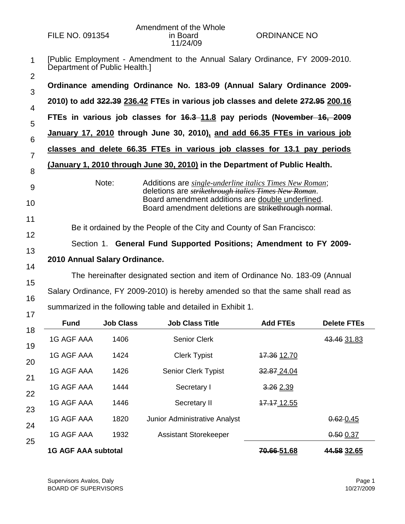1 2 [Public Employment - Amendment to the Annual Salary Ordinance, FY 2009-2010. Department of Public Health.]

|  | Ordinance amending Ordinance No. 183-09 (Annual Salary Ordinance 2009-          |  |  |  |
|--|---------------------------------------------------------------------------------|--|--|--|
|  | 2010) to add 322.39 236.42 FTEs in various job classes and delete 272.95 200.16 |  |  |  |

5 **FTEs in various job classes for 16.3 11.8 pay periods (November 16, 2009**

6 **January 17, 2010 through June 30, 2010), and add 66.35 FTEs in various job** 

7 **classes and delete 66.35 FTEs in various job classes for 13.1 pay periods** 

## 8 **(January 1, 2010 through June 30, 2010) in the Department of Public Health.**

- 9 10 Note: Additions are *single-underline italics Times New Roman*; deletions are *strikethrough italics Times New Roman*. Board amendment additions are double underlined. Board amendment deletions are strikethrough normal.
- 12 Be it ordained by the People of the City and County of San Francisco:

Section 1. **General Fund Supported Positions; Amendment to FY 2009-**

13 14 **2010 Annual Salary Ordinance.**

11

15 16 The hereinafter designated section and item of Ordinance No. 183-09 (Annual Salary Ordinance, FY 2009-2010) is hereby amended so that the same shall read as summarized in the following table and detailed in Exhibit 1.

| <b>Fund</b>                | <b>Job Class</b> | <b>Job Class Title</b>               | <b>Add FTEs</b> | <b>Delete FTEs</b> |  |  |  |  |
|----------------------------|------------------|--------------------------------------|-----------------|--------------------|--|--|--|--|
| 1G AGF AAA                 | 1406             | <b>Senior Clerk</b>                  |                 | 43.46 31.83        |  |  |  |  |
| 1G AGF AAA                 | 1424             | <b>Clerk Typist</b>                  | 17.36 12.70     |                    |  |  |  |  |
| 1G AGF AAA                 | 1426             | <b>Senior Clerk Typist</b>           | 32.87 24.04     |                    |  |  |  |  |
| <b>1G AGF AAA</b>          | 1444             | Secretary I                          | 3.26 2.39       |                    |  |  |  |  |
| <b>1G AGF AAA</b>          | 1446             | Secretary II                         | 17.17 12.55     |                    |  |  |  |  |
| 1G AGF AAA                 | 1820             | <b>Junior Administrative Analyst</b> |                 | $0.62 - 0.45$      |  |  |  |  |
| 1G AGF AAA                 | 1932             | <b>Assistant Storekeeper</b>         |                 | 0.50 0.37          |  |  |  |  |
| <b>1G AGF AAA subtotal</b> |                  |                                      | 70.66 51.68     | 44.58 32.65        |  |  |  |  |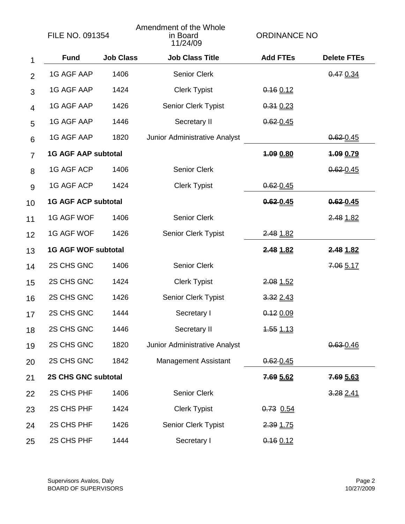|                | <b>FILE NO. 091354</b>     |                  | Amendment of the Whole<br>in Board<br>11/24/09 | <b>ORDINANCE NO</b>     |                    |
|----------------|----------------------------|------------------|------------------------------------------------|-------------------------|--------------------|
| 1              | <b>Fund</b>                | <b>Job Class</b> | <b>Job Class Title</b>                         | <b>Add FTEs</b>         | <b>Delete FTEs</b> |
| $\overline{2}$ | <b>1G AGF AAP</b>          | 1406             | <b>Senior Clerk</b>                            |                         | 0.470.34           |
| 3              | <b>1G AGF AAP</b>          | 1424             | <b>Clerk Typist</b>                            | $0.16$ 0.12             |                    |
| $\overline{4}$ | <b>1G AGF AAP</b>          | 1426             | Senior Clerk Typist                            | $0.31$ 0.23             |                    |
| 5              | 1G AGF AAP                 | 1446             | Secretary II                                   | $0.62 - 0.45$           |                    |
| 6              | 1G AGF AAP                 | 1820             | Junior Administrative Analyst                  |                         | $0.62 - 0.45$      |
| $\overline{7}$ | <b>1G AGF AAP subtotal</b> |                  |                                                | 1.09 0.80               | 1.09 0.79          |
| 8              | 1G AGF ACP                 | 1406             | <b>Senior Clerk</b>                            |                         | $0.62 - 0.45$      |
| 9              | <b>1G AGF ACP</b>          | 1424             | <b>Clerk Typist</b>                            | $0.62 - 0.45$           |                    |
| 10             | <b>1G AGF ACP subtotal</b> |                  |                                                | 0.62 0.45               | $0.62 - 0.45$      |
| 11             | 1G AGF WOF                 | 1406             | <b>Senior Clerk</b>                            |                         | 2.48 1.82          |
| 12             | 1G AGF WOF                 | 1426             | Senior Clerk Typist                            | 2.48 1.82               |                    |
| 13             | <b>1G AGF WOF subtotal</b> |                  |                                                | 2.48 1.82               | 2.48 1.82          |
| 14             | 2S CHS GNC                 | 1406             | Senior Clerk                                   |                         | 7.06 5.17          |
| 15             | 2S CHS GNC                 | 1424             | <b>Clerk Typist</b>                            | 2.08 1.52               |                    |
| 16             | 2S CHS GNC                 | 1426             | Senior Clerk Typist                            | 3.32 2.43               |                    |
| 17             | 2S CHS GNC                 | 1444             | Secretary I                                    | $0.12$ 0.09             |                    |
| 18             | 2S CHS GNC                 | 1446             | Secretary II                                   | $1.55 \underline{1.13}$ |                    |
| 19             | 2S CHS GNC                 | 1820             | Junior Administrative Analyst                  |                         | $0.63 - 0.46$      |
| 20             | 2S CHS GNC                 | 1842             | <b>Management Assistant</b>                    | $0.62 - 0.45$           |                    |
| 21             | 2S CHS GNC subtotal        |                  |                                                | 7.69 5.62               | 7.69 5.63          |
| 22             | 2S CHS PHF                 | 1406             | Senior Clerk                                   |                         | 3.282.41           |
| 23             | 2S CHS PHF                 | 1424             | <b>Clerk Typist</b>                            | $0.73$ 0.54             |                    |
| 24             | 2S CHS PHF                 | 1426             | Senior Clerk Typist                            | 2.39 1.75               |                    |
| 25             | 2S CHS PHF                 | 1444             | Secretary I                                    | $0.16$ 0.12             |                    |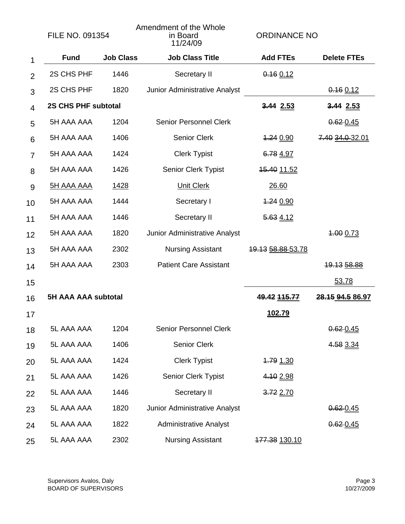|                | <b>FILE NO. 091354</b>     |                                       | Amendment of the Whole<br>in Board<br>11/24/09 | <b>ORDINANCE NO</b>      |                         |
|----------------|----------------------------|---------------------------------------|------------------------------------------------|--------------------------|-------------------------|
| 1              | <b>Fund</b>                | <b>Job Class</b>                      | <b>Job Class Title</b>                         | <b>Add FTEs</b>          | <b>Delete FTEs</b>      |
| $\overline{2}$ | 2S CHS PHF                 | 1446                                  | Secretary II                                   | $0.16$ 0.12              |                         |
| 3              | 2S CHS PHF                 | 1820                                  | Junior Administrative Analyst                  |                          | $0.16$ 0.12             |
| $\overline{4}$ | <b>2S CHS PHF subtotal</b> |                                       |                                                | 3.44 2.53                | 3.44 2.53               |
| 5              | 5H AAA AAA                 | 1204                                  | <b>Senior Personnel Clerk</b>                  |                          | $0.62 - 0.45$           |
| 6              | 5H AAA AAA                 | 1406                                  | <b>Senior Clerk</b>                            | 4.24 0.90                | 7.40 34.0 32.01         |
| $\overline{7}$ | 5H AAA AAA                 | 1424                                  | <b>Clerk Typist</b>                            | 6.78 4.97                |                         |
| 8              | 5H AAA AAA                 | 1426                                  | <b>Senior Clerk Typist</b>                     | <u>15.40 11.52</u>       |                         |
| 9              | <u>5H AAA AAA</u>          | <u>1428</u>                           | <b>Unit Clerk</b>                              | 26.60                    |                         |
| 10             | 5H AAA AAA                 | 1444                                  | Secretary I                                    | <u>1.24 0.90</u>         |                         |
| 11             | 5H AAA AAA                 | 1446                                  | Secretary II                                   | 5.63 4.12                |                         |
| 12             | 5H AAA AAA                 | 1820                                  | Junior Administrative Analyst                  |                          | 1.00 0.73               |
| 13             | 5H AAA AAA                 | 2302                                  | <b>Nursing Assistant</b>                       | <u>19.13 58.88 53.78</u> |                         |
| 14             | 5H AAA AAA                 | 2303                                  | <b>Patient Care Assistant</b>                  |                          | 19.13 58.88             |
| 15             |                            |                                       |                                                |                          | 53.78                   |
| 16             | <b>5H AAA AAA subtotal</b> |                                       |                                                | 49.42 115.77             | <u>28.15 94.5 86.97</u> |
| 17             |                            |                                       |                                                | 102.79                   |                         |
| 18             | 5L AAA AAA                 | 1204                                  | <b>Senior Personnel Clerk</b>                  |                          | $0.62 - 0.45$           |
| 19             | 5L AAA AAA                 | 1406                                  | <b>Senior Clerk</b>                            |                          | 4.58 3.34               |
| 20             | 5L AAA AAA                 | 1424                                  | <b>Clerk Typist</b>                            | 1.79 1.30                |                         |
| 21             | 5L AAA AAA                 | 1426                                  | Senior Clerk Typist                            | 4.10 2.98                |                         |
| 22             | 5L AAA AAA                 | 1446                                  | Secretary II                                   | 3.72 2.70                |                         |
| 23             | 5L AAA AAA                 | 1820                                  | Junior Administrative Analyst                  |                          | $0.62 - 0.45$           |
| 24             | 5L AAA AAA                 | 1822<br><b>Administrative Analyst</b> |                                                |                          | $0.62 - 0.45$           |
| 25             | 5L AAA AAA                 | 2302                                  | <b>Nursing Assistant</b>                       | 177.38 130.10            |                         |